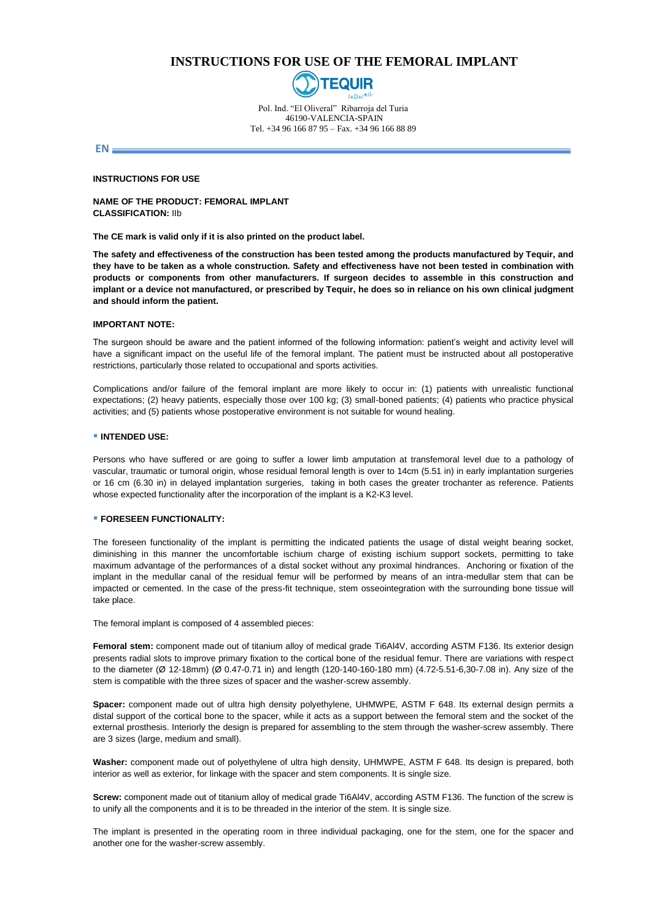# **INSTRUCTIONS FOR USE OF THE FEMORAL IMPLANT**



Pol. Ind. "El Oliveral" Ribarroja del Turia 46190-VALENCIA-SPAIN Tel. +34 96 166 87 95 – Fax. +34 96 166 88 89

**EN**

### **INSTRUCTIONS FOR USE**

**NAME OF THE PRODUCT: FEMORAL IMPLANT CLASSIFICATION:** IIb

**The CE mark is valid only if it is also printed on the product label.**

**The safety and effectiveness of the construction has been tested among the products manufactured by Tequir, and they have to be taken as a whole construction. Safety and effectiveness have not been tested in combination with products or components from other manufacturers. If surgeon decides to assemble in this construction and implant or a device not manufactured, or prescribed by Tequir, he does so in reliance on his own clinical judgment and should inform the patient.**

### **IMPORTANT NOTE:**

The surgeon should be aware and the patient informed of the following information: patient's weight and activity level will have a significant impact on the useful life of the femoral implant. The patient must be instructed about all postoperative restrictions, particularly those related to occupational and sports activities.

Complications and/or failure of the femoral implant are more likely to occur in: (1) patients with unrealistic functional expectations; (2) heavy patients, especially those over 100 kg; (3) small-boned patients; (4) patients who practice physical activities; and (5) patients whose postoperative environment is not suitable for wound healing.

### ▪ **INTENDED USE:**

Persons who have suffered or are going to suffer a lower limb amputation at transfemoral level due to a pathology of vascular, traumatic or tumoral origin, whose residual femoral length is over to 14cm (5.51 in) in early implantation surgeries or 16 cm (6.30 in) in delayed implantation surgeries, taking in both cases the greater trochanter as reference. Patients whose expected functionality after the incorporation of the implant is a K2-K3 level.

# ▪ **FORESEEN FUNCTIONALITY:**

The foreseen functionality of the implant is permitting the indicated patients the usage of distal weight bearing socket, diminishing in this manner the uncomfortable ischium charge of existing ischium support sockets, permitting to take maximum advantage of the performances of a distal socket without any proximal hindrances. Anchoring or fixation of the implant in the medullar canal of the residual femur will be performed by means of an intra-medullar stem that can be impacted or cemented. In the case of the press-fit technique, stem osseointegration with the surrounding bone tissue will take place.

The femoral implant is composed of 4 assembled pieces:

**Femoral stem:** component made out of titanium alloy of medical grade Ti6Al4V, according ASTM F136. Its exterior design presents radial slots to improve primary fixation to the cortical bone of the residual femur. There are variations with respect to the diameter (Ø 12-18mm) (Ø 0.47-0.71 in) and length (120-140-160-180 mm) (4.72-5.51-6,30-7.08 in). Any size of the stem is compatible with the three sizes of spacer and the washer-screw assembly.

**Spacer:** component made out of ultra high density polyethylene, UHMWPE, ASTM F 648. Its external design permits a distal support of the cortical bone to the spacer, while it acts as a support between the femoral stem and the socket of the external prosthesis. Interiorly the design is prepared for assembling to the stem through the washer-screw assembly. There are 3 sizes (large, medium and small).

**Washer:** component made out of polyethylene of ultra high density, UHMWPE, ASTM F 648. Its design is prepared, both interior as well as exterior, for linkage with the spacer and stem components. It is single size.

**Screw:** component made out of titanium alloy of medical grade Ti6Al4V, according ASTM F136. The function of the screw is to unify all the components and it is to be threaded in the interior of the stem. It is single size.

The implant is presented in the operating room in three individual packaging, one for the stem, one for the spacer and another one for the washer-screw assembly.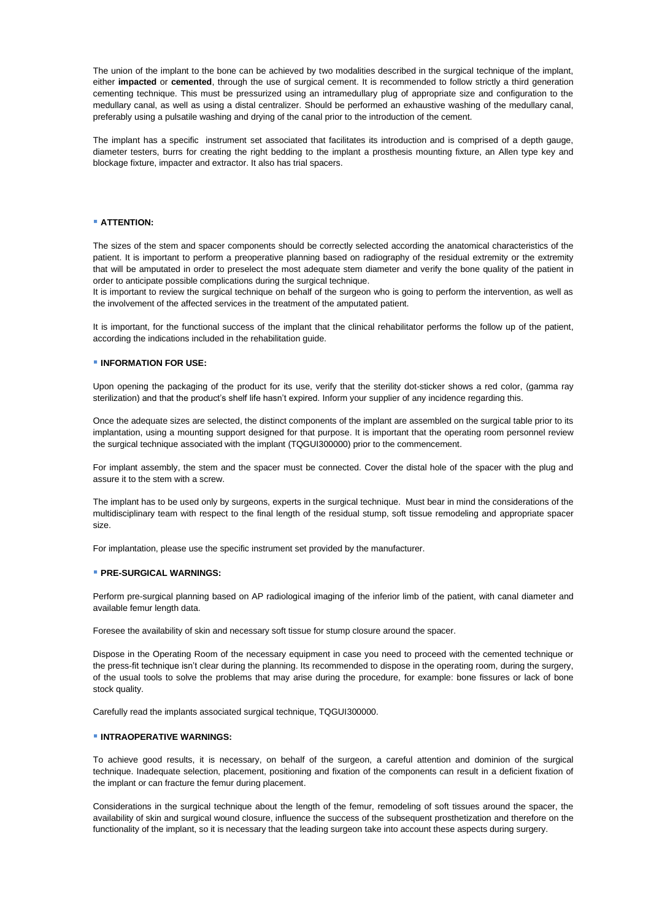The union of the implant to the bone can be achieved by two modalities described in the surgical technique of the implant, either **impacted** or **cemented**, through the use of surgical cement. It is recommended to follow strictly a third generation cementing technique. This must be pressurized using an intramedullary plug of appropriate size and configuration to the medullary canal, as well as using a distal centralizer. Should be performed an exhaustive washing of the medullary canal, preferably using a pulsatile washing and drying of the canal prior to the introduction of the cement.

The implant has a specific instrument set associated that facilitates its introduction and is comprised of a depth gauge, diameter testers, burrs for creating the right bedding to the implant a prosthesis mounting fixture, an Allen type key and blockage fixture, impacter and extractor. It also has trial spacers.

# ▪ **ATTENTION:**

The sizes of the stem and spacer components should be correctly selected according the anatomical characteristics of the patient. It is important to perform a preoperative planning based on radiography of the residual extremity or the extremity that will be amputated in order to preselect the most adequate stem diameter and verify the bone quality of the patient in order to anticipate possible complications during the surgical technique.

It is important to review the surgical technique on behalf of the surgeon who is going to perform the intervention, as well as the involvement of the affected services in the treatment of the amputated patient.

It is important, for the functional success of the implant that the clinical rehabilitator performs the follow up of the patient, according the indications included in the rehabilitation guide.

# ▪ **INFORMATION FOR USE:**

Upon opening the packaging of the product for its use, verify that the sterility dot-sticker shows a red color, (gamma ray sterilization) and that the product's shelf life hasn't expired. Inform your supplier of any incidence regarding this.

Once the adequate sizes are selected, the distinct components of the implant are assembled on the surgical table prior to its implantation, using a mounting support designed for that purpose. It is important that the operating room personnel review the surgical technique associated with the implant (TQGUI300000) prior to the commencement.

For implant assembly, the stem and the spacer must be connected. Cover the distal hole of the spacer with the plug and assure it to the stem with a screw.

The implant has to be used only by surgeons, experts in the surgical technique. Must bear in mind the considerations of the multidisciplinary team with respect to the final length of the residual stump, soft tissue remodeling and appropriate spacer size.

For implantation, please use the specific instrument set provided by the manufacturer.

#### ▪ **PRE-SURGICAL WARNINGS:**

Perform pre-surgical planning based on AP radiological imaging of the inferior limb of the patient, with canal diameter and available femur length data.

Foresee the availability of skin and necessary soft tissue for stump closure around the spacer.

Dispose in the Operating Room of the necessary equipment in case you need to proceed with the cemented technique or the press-fit technique isn't clear during the planning. Its recommended to dispose in the operating room, during the surgery, of the usual tools to solve the problems that may arise during the procedure, for example: bone fissures or lack of bone stock quality.

Carefully read the implants associated surgical technique, TQGUI300000.

### ▪ **INTRAOPERATIVE WARNINGS:**

To achieve good results, it is necessary, on behalf of the surgeon, a careful attention and dominion of the surgical technique. Inadequate selection, placement, positioning and fixation of the components can result in a deficient fixation of the implant or can fracture the femur during placement.

Considerations in the surgical technique about the length of the femur, remodeling of soft tissues around the spacer, the availability of skin and surgical wound closure, influence the success of the subsequent prosthetization and therefore on the functionality of the implant, so it is necessary that the leading surgeon take into account these aspects during surgery.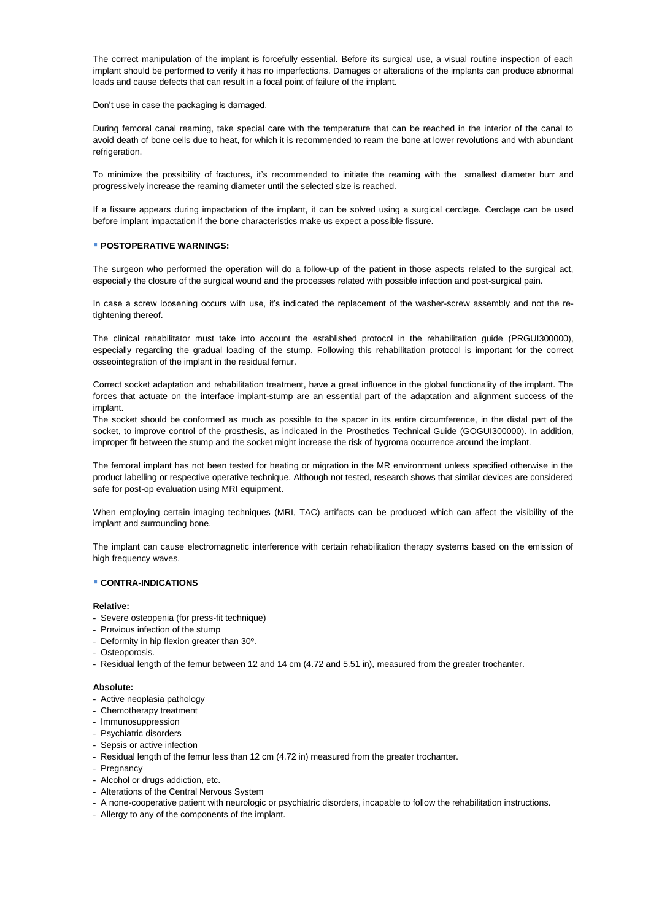The correct manipulation of the implant is forcefully essential. Before its surgical use, a visual routine inspection of each implant should be performed to verify it has no imperfections. Damages or alterations of the implants can produce abnormal loads and cause defects that can result in a focal point of failure of the implant.

Don't use in case the packaging is damaged.

During femoral canal reaming, take special care with the temperature that can be reached in the interior of the canal to avoid death of bone cells due to heat, for which it is recommended to ream the bone at lower revolutions and with abundant refrigeration.

To minimize the possibility of fractures, it's recommended to initiate the reaming with the smallest diameter burr and progressively increase the reaming diameter until the selected size is reached.

If a fissure appears during impactation of the implant, it can be solved using a surgical cerclage. Cerclage can be used before implant impactation if the bone characteristics make us expect a possible fissure.

# ▪ **POSTOPERATIVE WARNINGS:**

The surgeon who performed the operation will do a follow-up of the patient in those aspects related to the surgical act, especially the closure of the surgical wound and the processes related with possible infection and post-surgical pain.

In case a screw loosening occurs with use, it's indicated the replacement of the washer-screw assembly and not the retightening thereof.

The clinical rehabilitator must take into account the established protocol in the rehabilitation guide (PRGUI300000), especially regarding the gradual loading of the stump. Following this rehabilitation protocol is important for the correct osseointegration of the implant in the residual femur.

Correct socket adaptation and rehabilitation treatment, have a great influence in the global functionality of the implant. The forces that actuate on the interface implant-stump are an essential part of the adaptation and alignment success of the implant.

The socket should be conformed as much as possible to the spacer in its entire circumference, in the distal part of the socket, to improve control of the prosthesis, as indicated in the Prosthetics Technical Guide (GOGUI300000). In addition, improper fit between the stump and the socket might increase the risk of hygroma occurrence around the implant.

The femoral implant has not been tested for heating or migration in the MR environment unless specified otherwise in the product labelling or respective operative technique. Although not tested, research shows that similar devices are considered safe for post-op evaluation using MRI equipment.

When employing certain imaging techniques (MRI, TAC) artifacts can be produced which can affect the visibility of the implant and surrounding bone.

The implant can cause electromagnetic interference with certain rehabilitation therapy systems based on the emission of high frequency waves.

### ▪ **CONTRA-INDICATIONS**

#### **Relative:**

- Severe osteopenia (for press-fit technique)
- Previous infection of the stump
- Deformity in hip flexion greater than 30º.
- Osteoporosis.
- Residual length of the femur between 12 and 14 cm (4.72 and 5.51 in), measured from the greater trochanter.

### **Absolute:**

- Active neoplasia pathology
- Chemotherapy treatment
- Immunosuppression
- Psychiatric disorders
- Sepsis or active infection
- Residual length of the femur less than 12 cm (4.72 in) measured from the greater trochanter.
- Pregnancy
- Alcohol or drugs addiction, etc.
- Alterations of the Central Nervous System
- A none-cooperative patient with neurologic or psychiatric disorders, incapable to follow the rehabilitation instructions.
- Allergy to any of the components of the implant.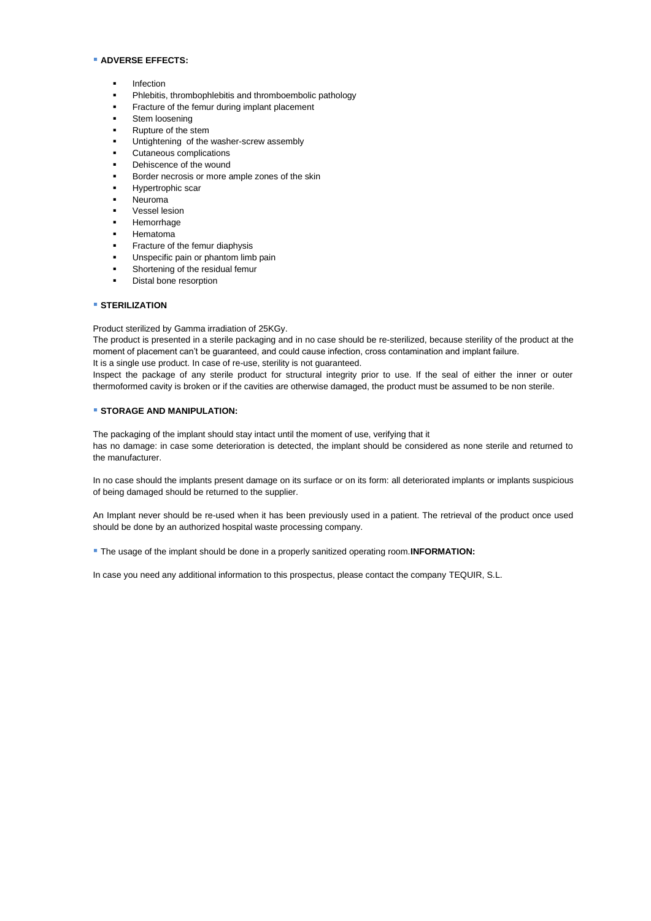### ▪ **ADVERSE EFFECTS:**

- Infection
- Phlebitis, thrombophlebitis and thromboembolic pathology
- **•** Fracture of the femur during implant placement
- Stem loosening
- Rupture of the stem
- Untightening of the washer-screw assembly
- Cutaneous complications
- Dehiscence of the wound
- Border necrosis or more ample zones of the skin
- **Hypertrophic scar**
- **Neuroma**
- Vessel lesion
- Hemorrhage
- **Hematoma**
- Fracture of the femur diaphysis
- Unspecific pain or phantom limb pain
- Shortening of the residual femur
- Distal bone resorption

# ▪ **STERILIZATION**

Product sterilized by Gamma irradiation of 25KGy.

The product is presented in a sterile packaging and in no case should be re-sterilized, because sterility of the product at the moment of placement can't be guaranteed, and could cause infection, cross contamination and implant failure.

It is a single use product. In case of re-use, sterility is not guaranteed.

Inspect the package of any sterile product for structural integrity prior to use. If the seal of either the inner or outer thermoformed cavity is broken or if the cavities are otherwise damaged, the product must be assumed to be non sterile.

### ▪ **STORAGE AND MANIPULATION:**

The packaging of the implant should stay intact until the moment of use, verifying that it has no damage: in case some deterioration is detected, the implant should be considered as none sterile and returned to the manufacturer.

In no case should the implants present damage on its surface or on its form: all deteriorated implants or implants suspicious of being damaged should be returned to the supplier.

An Implant never should be re-used when it has been previously used in a patient. The retrieval of the product once used should be done by an authorized hospital waste processing company.

▪ The usage of the implant should be done in a properly sanitized operating room.**INFORMATION:**

In case you need any additional information to this prospectus, please contact the company TEQUIR, S.L.